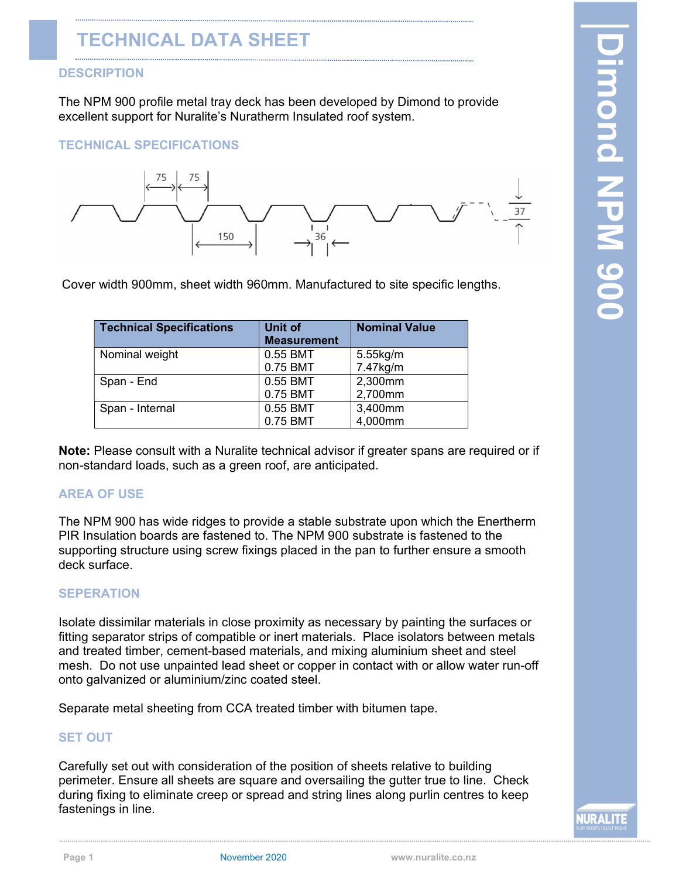The NPM 900 profile metal tray deck has been developed by Dimond to provide excellent support for Nuralite's Nuratherm Insulated roof system.

### TECHNICAL SPECIFICATIONS



Cover width 900mm, sheet width 960mm. Manufactured to site specific lengths.

| <b>Technical Specifications</b> | <b>Unit of</b><br><b>Measurement</b> | <b>Nominal Value</b> |
|---------------------------------|--------------------------------------|----------------------|
| Nominal weight                  | 0.55 BMT                             | 5.55kg/m             |
|                                 | 0.75 BMT                             | 7.47kg/m             |
| Span - End                      | 0.55 BMT                             | 2,300mm              |
|                                 | 0.75 BMT                             | 2,700mm              |
| Span - Internal                 | 0.55 BMT                             | 3,400mm              |
|                                 | 0.75 BMT                             | 4,000mm              |

Note: Please consult with a Nuralite technical advisor if greater spans are required or if non-standard loads, such as a green roof, are anticipated.

# AREA OF USE

The NPM 900 has wide ridges to provide a stable substrate upon which the Enertherm PIR Insulation boards are fastened to. The NPM 900 substrate is fastened to the supporting structure using screw fixings placed in the pan to further ensure a smooth deck surface.

# SEPERATION

Isolate dissimilar materials in close proximity as necessary by painting the surfaces or fitting separator strips of compatible or inert materials. Place isolators between metals and treated timber, cement-based materials, and mixing aluminium sheet and steel mesh. Do not use unpainted lead sheet or copper in contact with or allow water run-off onto galvanized or aluminium/zinc coated steel.

Separate metal sheeting from CCA treated timber with bitumen tape.

# SET OUT

Carefully set out with consideration of the position of sheets relative to building perimeter. Ensure all sheets are square and oversailing the gutter true to line. Check during fixing to eliminate creep or spread and string lines along purlin centres to keep fastenings in line.